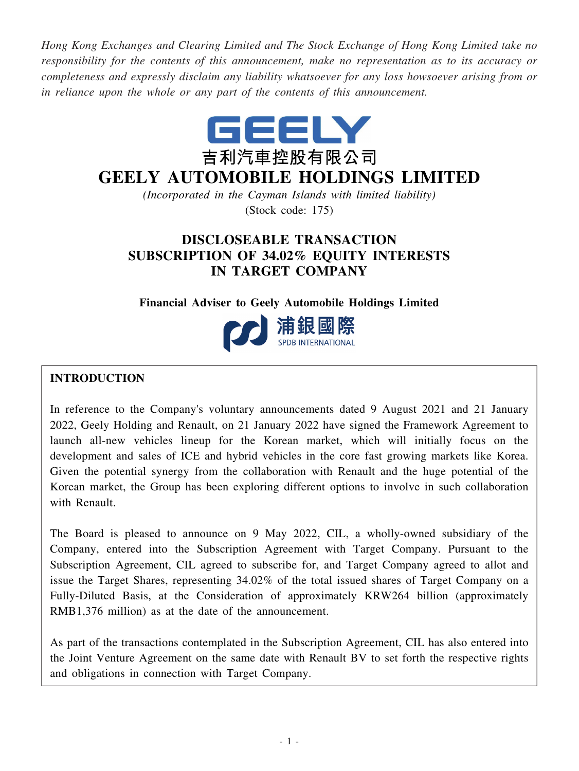*Hong Kong Exchanges and Clearing Limited and The Stock Exchange of Hong Kong Limited take no responsibility for the contents of this announcement, make no representation as to its accuracy or completeness and expressly disclaim any liability whatsoever for any loss howsoever arising from or in reliance upon the whole or any part of the contents of this announcement.*



# **GEELY AUTOMOBILE HOLDINGS LIMITED**

*(Incorporated in the Cayman Islands with limited liability)* (Stock code: 175)

## **DISCLOSEABLE TRANSACTION SUBSCRIPTION OF 34.02% EQUITY INTERESTS IN TARGET COMPANY**

### **Financial Adviser to Geely Automobile Holdings Limited**



### **INTRODUCTION**

In reference to the Company's voluntary announcements dated 9 August 2021 and 21 January 2022, Geely Holding and Renault, on 21 January 2022 have signed the Framework Agreement to launch all-new vehicles lineup for the Korean market, which will initially focus on the development and sales of ICE and hybrid vehicles in the core fast growing markets like Korea. Given the potential synergy from the collaboration with Renault and the huge potential of the Korean market, the Group has been exploring different options to involve in such collaboration with Renault.

The Board is pleased to announce on 9 May 2022, CIL, a wholly-owned subsidiary of the Company, entered into the Subscription Agreement with Target Company. Pursuant to the Subscription Agreement, CIL agreed to subscribe for, and Target Company agreed to allot and issue the Target Shares, representing 34.02% of the total issued shares of Target Company on a Fully-Diluted Basis, at the Consideration of approximately KRW264 billion (approximately RMB1,376 million) as at the date of the announcement.

As part of the transactions contemplated in the Subscription Agreement, CIL has also entered into the Joint Venture Agreement on the same date with Renault BV to set forth the respective rights and obligations in connection with Target Company.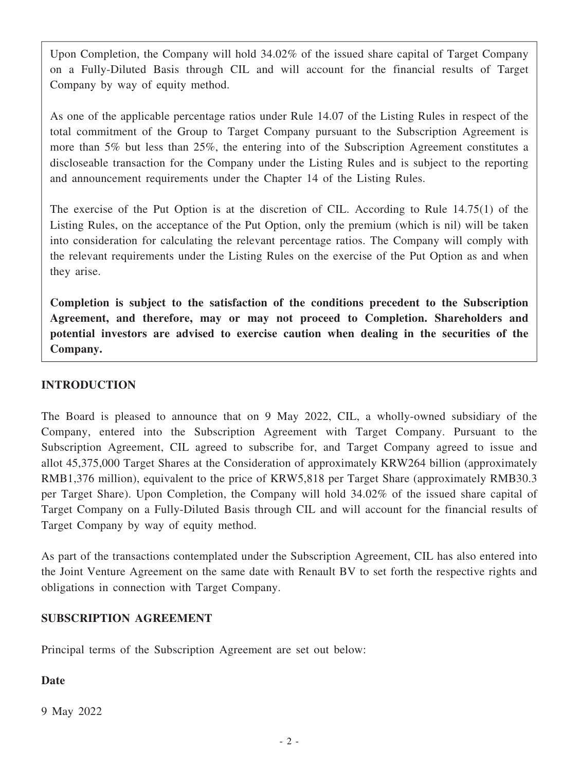Upon Completion, the Company will hold 34.02% of the issued share capital of Target Company on a Fully-Diluted Basis through CIL and will account for the financial results of Target Company by way of equity method.

As one of the applicable percentage ratios under Rule 14.07 of the Listing Rules in respect of the total commitment of the Group to Target Company pursuant to the Subscription Agreement is more than 5% but less than 25%, the entering into of the Subscription Agreement constitutes a discloseable transaction for the Company under the Listing Rules and is subject to the reporting and announcement requirements under the Chapter 14 of the Listing Rules.

The exercise of the Put Option is at the discretion of CIL. According to Rule 14.75(1) of the Listing Rules, on the acceptance of the Put Option, only the premium (which is nil) will be taken into consideration for calculating the relevant percentage ratios. The Company will comply with the relevant requirements under the Listing Rules on the exercise of the Put Option as and when they arise.

**Completion is subject to the satisfaction of the conditions precedent to the Subscription Agreement, and therefore, may or may not proceed to Completion. Shareholders and potential investors are advised to exercise caution when dealing in the securities of the Company.**

### **INTRODUCTION**

The Board is pleased to announce that on 9 May 2022, CIL, a wholly-owned subsidiary of the Company, entered into the Subscription Agreement with Target Company. Pursuant to the Subscription Agreement, CIL agreed to subscribe for, and Target Company agreed to issue and allot 45,375,000 Target Shares at the Consideration of approximately KRW264 billion (approximately RMB1,376 million), equivalent to the price of KRW5,818 per Target Share (approximately RMB30.3 per Target Share). Upon Completion, the Company will hold 34.02% of the issued share capital of Target Company on a Fully-Diluted Basis through CIL and will account for the financial results of Target Company by way of equity method.

As part of the transactions contemplated under the Subscription Agreement, CIL has also entered into the Joint Venture Agreement on the same date with Renault BV to set forth the respective rights and obligations in connection with Target Company.

### **SUBSCRIPTION AGREEMENT**

Principal terms of the Subscription Agreement are set out below:

### **Date**

9 May 2022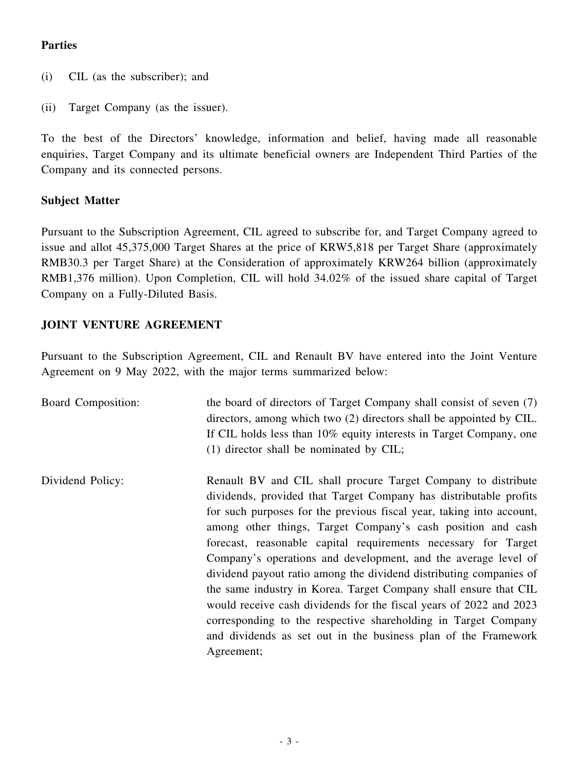### **Parties**

- (i) CIL (as the subscriber); and
- (ii) Target Company (as the issuer).

To the best of the Directors' knowledge, information and belief, having made all reasonable enquiries, Target Company and its ultimate beneficial owners are Independent Third Parties of the Company and its connected persons.

### **Subject Matter**

Pursuant to the Subscription Agreement, CIL agreed to subscribe for, and Target Company agreed to issue and allot 45,375,000 Target Shares at the price of KRW5,818 per Target Share (approximately RMB30.3 per Target Share) at the Consideration of approximately KRW264 billion (approximately RMB1,376 million). Upon Completion, CIL will hold 34.02% of the issued share capital of Target Company on a Fully-Diluted Basis.

### **JOINT VENTURE AGREEMENT**

Pursuant to the Subscription Agreement, CIL and Renault BV have entered into the Joint Venture Agreement on 9 May 2022, with the major terms summarized below:

| Board Composition: | the board of directors of Target Company shall consist of seven (7)<br>directors, among which two (2) directors shall be appointed by CIL.<br>If CIL holds less than 10% equity interests in Target Company, one<br>$(1)$ director shall be nominated by CIL;                                                                                                                                                                                                                                                                                                                                                                                                                                                                                                                   |
|--------------------|---------------------------------------------------------------------------------------------------------------------------------------------------------------------------------------------------------------------------------------------------------------------------------------------------------------------------------------------------------------------------------------------------------------------------------------------------------------------------------------------------------------------------------------------------------------------------------------------------------------------------------------------------------------------------------------------------------------------------------------------------------------------------------|
| Dividend Policy:   | Renault BV and CIL shall procure Target Company to distribute<br>dividends, provided that Target Company has distributable profits<br>for such purposes for the previous fiscal year, taking into account,<br>among other things, Target Company's cash position and cash<br>forecast, reasonable capital requirements necessary for Target<br>Company's operations and development, and the average level of<br>dividend payout ratio among the dividend distributing companies of<br>the same industry in Korea. Target Company shall ensure that CIL<br>would receive cash dividends for the fiscal years of 2022 and 2023<br>corresponding to the respective shareholding in Target Company<br>and dividends as set out in the business plan of the Framework<br>Agreement; |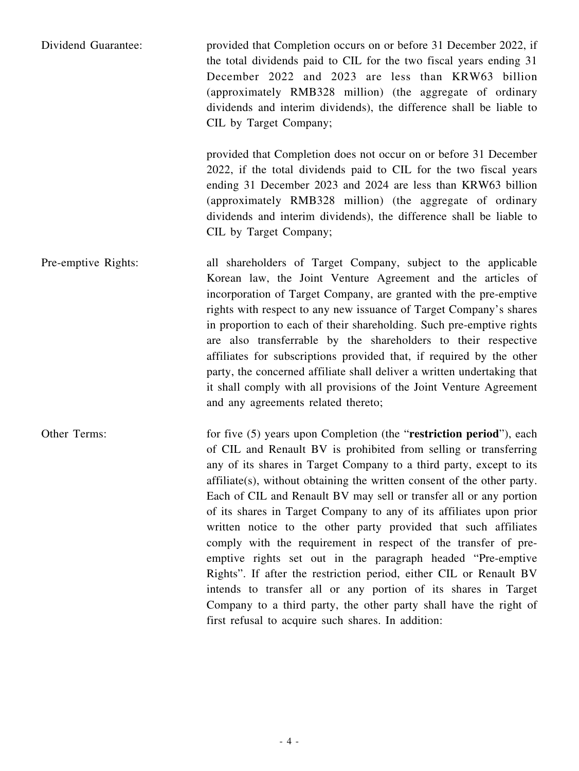| Dividend Guarantee: | provided that Completion occurs on or before 31 December 2022, if<br>the total dividends paid to CIL for the two fiscal years ending 31 |
|---------------------|-----------------------------------------------------------------------------------------------------------------------------------------|
|                     | December 2022 and 2023 are less than KRW63 billion                                                                                      |
|                     | (approximately RMB328 million) (the aggregate of ordinary<br>dividends and interim dividends), the difference shall be liable to        |
|                     | CIL by Target Company;                                                                                                                  |
|                     |                                                                                                                                         |

provided that Completion does not occur on or before 31 December 2022, if the total dividends paid to CIL for the two fiscal years ending 31 December 2023 and 2024 are less than KRW63 billion (approximately RMB328 million) (the aggregate of ordinary dividends and interim dividends), the difference shall be liable to CIL by Target Company;

Pre-emptive Rights: all shareholders of Target Company, subject to the applicable Korean law, the Joint Venture Agreement and the articles of incorporation of Target Company, are granted with the pre-emptive rights with respect to any new issuance of Target Company's shares in proportion to each of their shareholding. Such pre-emptive rights are also transferrable by the shareholders to their respective affiliates for subscriptions provided that, if required by the other party, the concerned affiliate shall deliver a written undertaking that it shall comply with all provisions of the Joint Venture Agreement and any agreements related thereto;

Other Terms: for five (5) years upon Completion (the "**restriction period**"), each of CIL and Renault BV is prohibited from selling or transferring any of its shares in Target Company to a third party, except to its affiliate(s), without obtaining the written consent of the other party. Each of CIL and Renault BV may sell or transfer all or any portion of its shares in Target Company to any of its affiliates upon prior written notice to the other party provided that such affiliates comply with the requirement in respect of the transfer of preemptive rights set out in the paragraph headed "Pre-emptive Rights". If after the restriction period, either CIL or Renault BV intends to transfer all or any portion of its shares in Target Company to a third party, the other party shall have the right of first refusal to acquire such shares. In addition: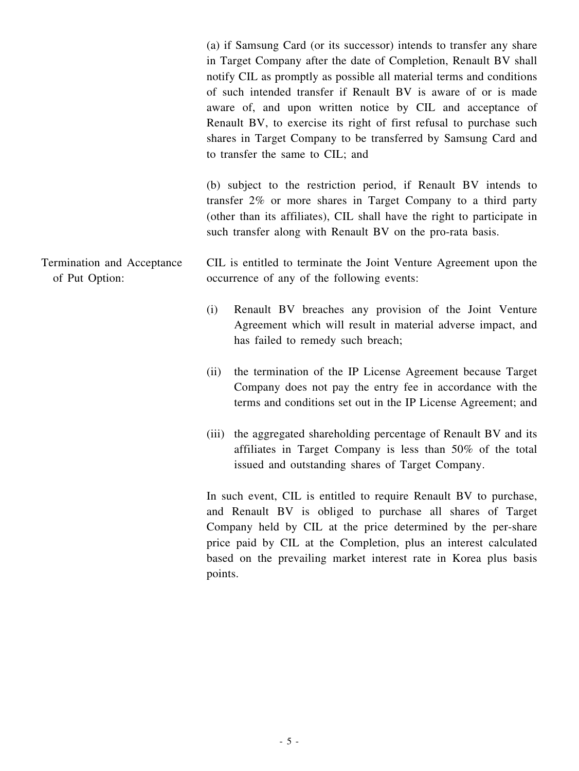(a) if Samsung Card (or its successor) intends to transfer any share in Target Company after the date of Completion, Renault BV shall notify CIL as promptly as possible all material terms and conditions of such intended transfer if Renault BV is aware of or is made aware of, and upon written notice by CIL and acceptance of Renault BV, to exercise its right of first refusal to purchase such shares in Target Company to be transferred by Samsung Card and to transfer the same to CIL; and

(b) subject to the restriction period, if Renault BV intends to transfer 2% or more shares in Target Company to a third party (other than its affiliates), CIL shall have the right to participate in such transfer along with Renault BV on the pro-rata basis.

#### Termination and Acceptance of Put Option: CIL is entitled to terminate the Joint Venture Agreement upon the occurrence of any of the following events:

- (i) Renault BV breaches any provision of the Joint Venture Agreement which will result in material adverse impact, and has failed to remedy such breach;
- (ii) the termination of the IP License Agreement because Target Company does not pay the entry fee in accordance with the terms and conditions set out in the IP License Agreement; and
- (iii) the aggregated shareholding percentage of Renault BV and its affiliates in Target Company is less than 50% of the total issued and outstanding shares of Target Company.

In such event, CIL is entitled to require Renault BV to purchase, and Renault BV is obliged to purchase all shares of Target Company held by CIL at the price determined by the per-share price paid by CIL at the Completion, plus an interest calculated based on the prevailing market interest rate in Korea plus basis points.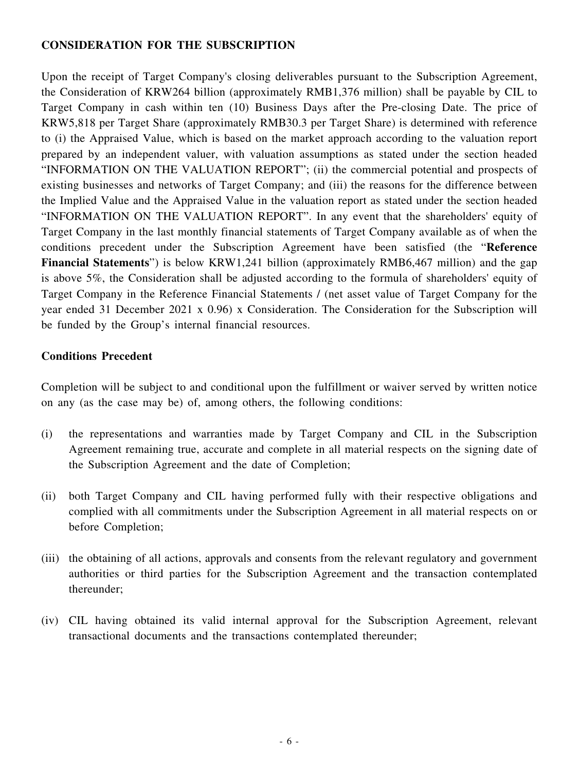### **CONSIDERATION FOR THE SUBSCRIPTION**

Upon the receipt of Target Company's closing deliverables pursuant to the Subscription Agreement, the Consideration of KRW264 billion (approximately RMB1,376 million) shall be payable by CIL to Target Company in cash within ten (10) Business Days after the Pre-closing Date. The price of KRW5,818 per Target Share (approximately RMB30.3 per Target Share) is determined with reference to (i) the Appraised Value, which is based on the market approach according to the valuation report prepared by an independent valuer, with valuation assumptions as stated under the section headed "INFORMATION ON THE VALUATION REPORT"; (ii) the commercial potential and prospects of existing businesses and networks of Target Company; and (iii) the reasons for the difference between the Implied Value and the Appraised Value in the valuation report as stated under the section headed "INFORMATION ON THE VALUATION REPORT". In any event that the shareholders' equity of Target Company in the last monthly financial statements of Target Company available as of when the conditions precedent under the Subscription Agreement have been satisfied (the "**Reference Financial Statements**") is below KRW1,241 billion (approximately RMB6,467 million) and the gap is above 5%, the Consideration shall be adjusted according to the formula of shareholders' equity of Target Company in the Reference Financial Statements / (net asset value of Target Company for the year ended 31 December 2021 x 0.96) x Consideration. The Consideration for the Subscription will be funded by the Group's internal financial resources.

### **Conditions Precedent**

Completion will be subject to and conditional upon the fulfillment or waiver served by written notice on any (as the case may be) of, among others, the following conditions:

- (i) the representations and warranties made by Target Company and CIL in the Subscription Agreement remaining true, accurate and complete in all material respects on the signing date of the Subscription Agreement and the date of Completion;
- (ii) both Target Company and CIL having performed fully with their respective obligations and complied with all commitments under the Subscription Agreement in all material respects on or before Completion;
- (iii) the obtaining of all actions, approvals and consents from the relevant regulatory and government authorities or third parties for the Subscription Agreement and the transaction contemplated thereunder;
- (iv) CIL having obtained its valid internal approval for the Subscription Agreement, relevant transactional documents and the transactions contemplated thereunder;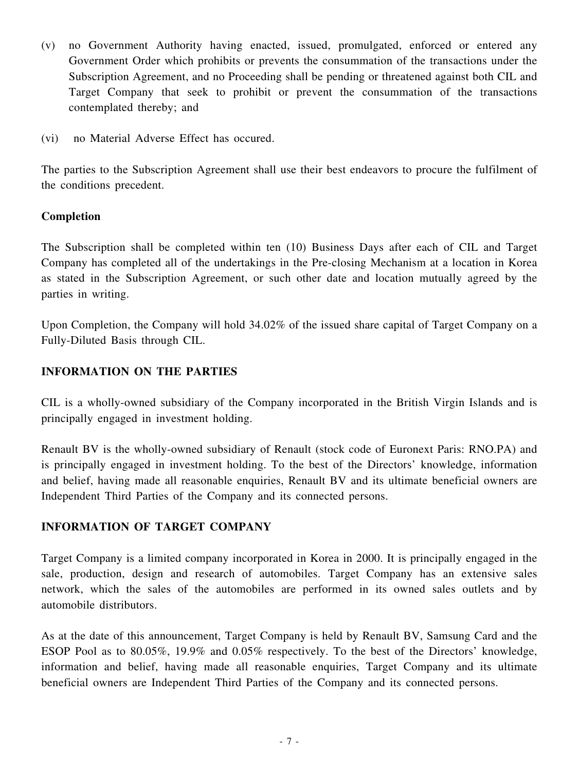- (v) no Government Authority having enacted, issued, promulgated, enforced or entered any Government Order which prohibits or prevents the consummation of the transactions under the Subscription Agreement, and no Proceeding shall be pending or threatened against both CIL and Target Company that seek to prohibit or prevent the consummation of the transactions contemplated thereby; and
- (vi) no Material Adverse Effect has occured.

The parties to the Subscription Agreement shall use their best endeavors to procure the fulfilment of the conditions precedent.

### **Completion**

The Subscription shall be completed within ten (10) Business Days after each of CIL and Target Company has completed all of the undertakings in the Pre-closing Mechanism at a location in Korea as stated in the Subscription Agreement, or such other date and location mutually agreed by the parties in writing.

Upon Completion, the Company will hold 34.02% of the issued share capital of Target Company on a Fully-Diluted Basis through CIL.

### **INFORMATION ON THE PARTIES**

CIL is a wholly-owned subsidiary of the Company incorporated in the British Virgin Islands and is principally engaged in investment holding.

Renault BV is the wholly-owned subsidiary of Renault (stock code of Euronext Paris: RNO.PA) and is principally engaged in investment holding. To the best of the Directors' knowledge, information and belief, having made all reasonable enquiries, Renault BV and its ultimate beneficial owners are Independent Third Parties of the Company and its connected persons.

### **INFORMATION OF TARGET COMPANY**

Target Company is a limited company incorporated in Korea in 2000. It is principally engaged in the sale, production, design and research of automobiles. Target Company has an extensive sales network, which the sales of the automobiles are performed in its owned sales outlets and by automobile distributors.

As at the date of this announcement, Target Company is held by Renault BV, Samsung Card and the ESOP Pool as to 80.05%, 19.9% and 0.05% respectively. To the best of the Directors' knowledge, information and belief, having made all reasonable enquiries, Target Company and its ultimate beneficial owners are Independent Third Parties of the Company and its connected persons.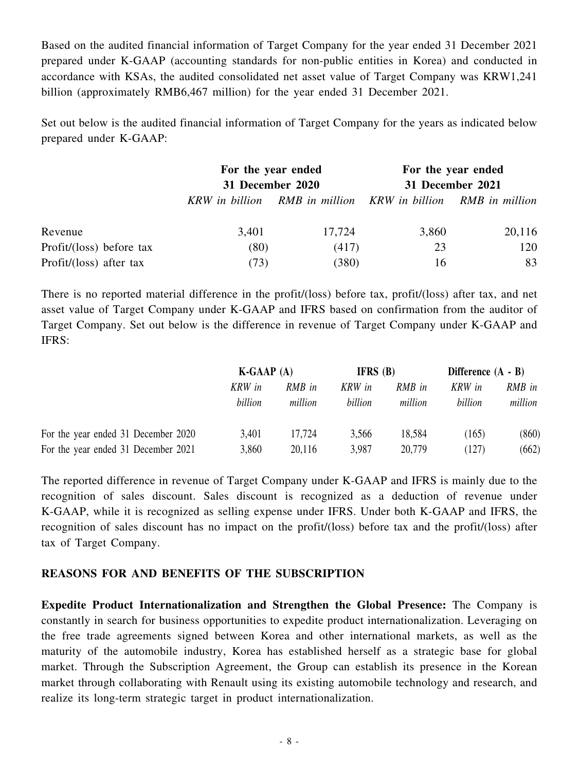Based on the audited financial information of Target Company for the year ended 31 December 2021 prepared under K-GAAP (accounting standards for non-public entities in Korea) and conducted in accordance with KSAs, the audited consolidated net asset value of Target Company was KRW1,241 billion (approximately RMB6,467 million) for the year ended 31 December 2021.

Set out below is the audited financial information of Target Company for the years as indicated below prepared under K-GAAP:

|                          | For the year ended |                                                             |                  | For the year ended |
|--------------------------|--------------------|-------------------------------------------------------------|------------------|--------------------|
|                          | 31 December 2020   |                                                             | 31 December 2021 |                    |
|                          |                    | KRW in billion RMB in million KRW in billion RMB in million |                  |                    |
| Revenue                  | 3,401              | 17,724                                                      | 3,860            | 20,116             |
| Profit/(loss) before tax | (80)               | (417)                                                       | 23               | 120                |
| Profit/(loss) after tax  | (73)               | (380)                                                       | 16               | 83                 |

There is no reported material difference in the profit/(loss) before tax, profit/(loss) after tax, and net asset value of Target Company under K-GAAP and IFRS based on confirmation from the auditor of Target Company. Set out below is the difference in revenue of Target Company under K-GAAP and IFRS:

|                                     | $K-GAAP(A)$       |                   | <b>IFRS</b> $(B)$ |                   | Difference $(A - B)$ |                   |
|-------------------------------------|-------------------|-------------------|-------------------|-------------------|----------------------|-------------------|
|                                     | KRW in<br>billion | RMB in<br>million | KRW in<br>billion | RMB in<br>million | KRW in<br>billion    | RMB in<br>million |
| For the year ended 31 December 2020 | 3,401             | 17.724            | 3,566             | 18,584            | (165)                | (860)             |
| For the year ended 31 December 2021 | 3,860             | 20,116            | 3,987             | 20,779            | (127)                | (662)             |

The reported difference in revenue of Target Company under K-GAAP and IFRS is mainly due to the recognition of sales discount. Sales discount is recognized as a deduction of revenue under K-GAAP, while it is recognized as selling expense under IFRS. Under both K-GAAP and IFRS, the recognition of sales discount has no impact on the profit/(loss) before tax and the profit/(loss) after tax of Target Company.

### **REASONS FOR AND BENEFITS OF THE SUBSCRIPTION**

**Expedite Product Internationalization and Strengthen the Global Presence:** The Company is constantly in search for business opportunities to expedite product internationalization. Leveraging on the free trade agreements signed between Korea and other international markets, as well as the maturity of the automobile industry, Korea has established herself as a strategic base for global market. Through the Subscription Agreement, the Group can establish its presence in the Korean market through collaborating with Renault using its existing automobile technology and research, and realize its long-term strategic target in product internationalization.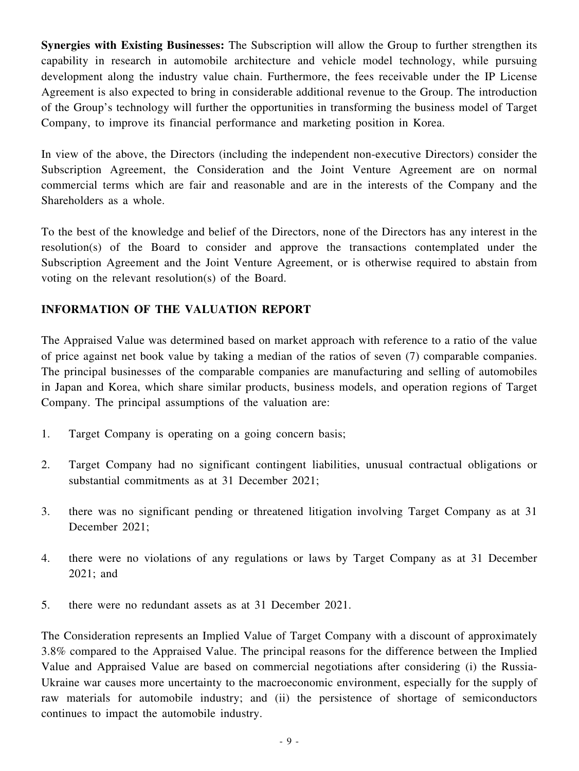**Synergies with Existing Businesses:** The Subscription will allow the Group to further strengthen its capability in research in automobile architecture and vehicle model technology, while pursuing development along the industry value chain. Furthermore, the fees receivable under the IP License Agreement is also expected to bring in considerable additional revenue to the Group. The introduction of the Group's technology will further the opportunities in transforming the business model of Target Company, to improve its financial performance and marketing position in Korea.

In view of the above, the Directors (including the independent non-executive Directors) consider the Subscription Agreement, the Consideration and the Joint Venture Agreement are on normal commercial terms which are fair and reasonable and are in the interests of the Company and the Shareholders as a whole.

To the best of the knowledge and belief of the Directors, none of the Directors has any interest in the resolution(s) of the Board to consider and approve the transactions contemplated under the Subscription Agreement and the Joint Venture Agreement, or is otherwise required to abstain from voting on the relevant resolution(s) of the Board.

### **INFORMATION OF THE VALUATION REPORT**

The Appraised Value was determined based on market approach with reference to a ratio of the value of price against net book value by taking a median of the ratios of seven (7) comparable companies. The principal businesses of the comparable companies are manufacturing and selling of automobiles in Japan and Korea, which share similar products, business models, and operation regions of Target Company. The principal assumptions of the valuation are:

- 1. Target Company is operating on a going concern basis;
- 2. Target Company had no significant contingent liabilities, unusual contractual obligations or substantial commitments as at 31 December 2021;
- 3. there was no significant pending or threatened litigation involving Target Company as at 31 December 2021;
- 4. there were no violations of any regulations or laws by Target Company as at 31 December 2021; and
- 5. there were no redundant assets as at 31 December 2021.

The Consideration represents an Implied Value of Target Company with a discount of approximately 3.8% compared to the Appraised Value. The principal reasons for the difference between the Implied Value and Appraised Value are based on commercial negotiations after considering (i) the Russia-Ukraine war causes more uncertainty to the macroeconomic environment, especially for the supply of raw materials for automobile industry; and (ii) the persistence of shortage of semiconductors continues to impact the automobile industry.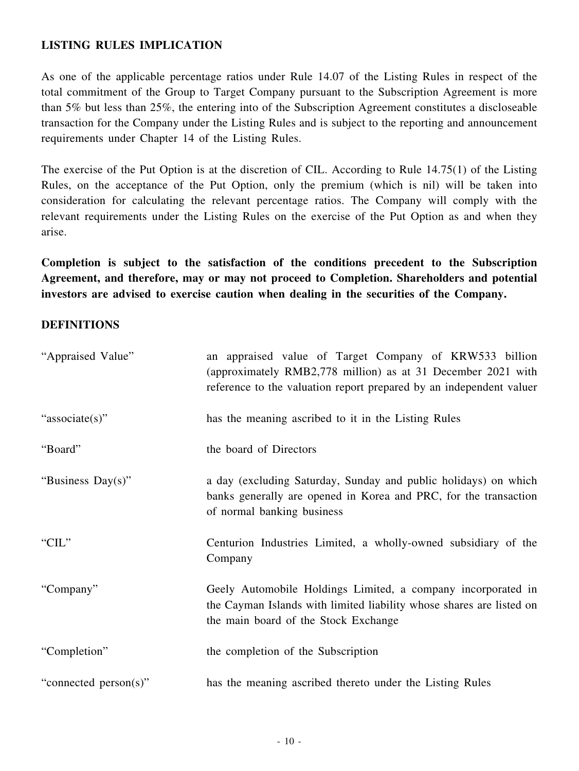### **LISTING RULES IMPLICATION**

As one of the applicable percentage ratios under Rule 14.07 of the Listing Rules in respect of the total commitment of the Group to Target Company pursuant to the Subscription Agreement is more than 5% but less than 25%, the entering into of the Subscription Agreement constitutes a discloseable transaction for the Company under the Listing Rules and is subject to the reporting and announcement requirements under Chapter 14 of the Listing Rules.

The exercise of the Put Option is at the discretion of CIL. According to Rule 14.75(1) of the Listing Rules, on the acceptance of the Put Option, only the premium (which is nil) will be taken into consideration for calculating the relevant percentage ratios. The Company will comply with the relevant requirements under the Listing Rules on the exercise of the Put Option as and when they arise.

**Completion is subject to the satisfaction of the conditions precedent to the Subscription Agreement, and therefore, may or may not proceed to Completion. Shareholders and potential investors are advised to exercise caution when dealing in the securities of the Company.**

### **DEFINITIONS**

| "Appraised Value"     | an appraised value of Target Company of KRW533 billion<br>(approximately RMB2,778 million) as at 31 December 2021 with<br>reference to the valuation report prepared by an independent valuer |
|-----------------------|-----------------------------------------------------------------------------------------------------------------------------------------------------------------------------------------------|
| "associate(s)"        | has the meaning ascribed to it in the Listing Rules                                                                                                                                           |
| "Board"               | the board of Directors                                                                                                                                                                        |
| "Business Day(s)"     | a day (excluding Saturday, Sunday and public holidays) on which<br>banks generally are opened in Korea and PRC, for the transaction<br>of normal banking business                             |
| "CIL"                 | Centurion Industries Limited, a wholly-owned subsidiary of the<br>Company                                                                                                                     |
| "Company"             | Geely Automobile Holdings Limited, a company incorporated in<br>the Cayman Islands with limited liability whose shares are listed on<br>the main board of the Stock Exchange                  |
| "Completion"          | the completion of the Subscription                                                                                                                                                            |
| "connected person(s)" | has the meaning ascribed thereto under the Listing Rules                                                                                                                                      |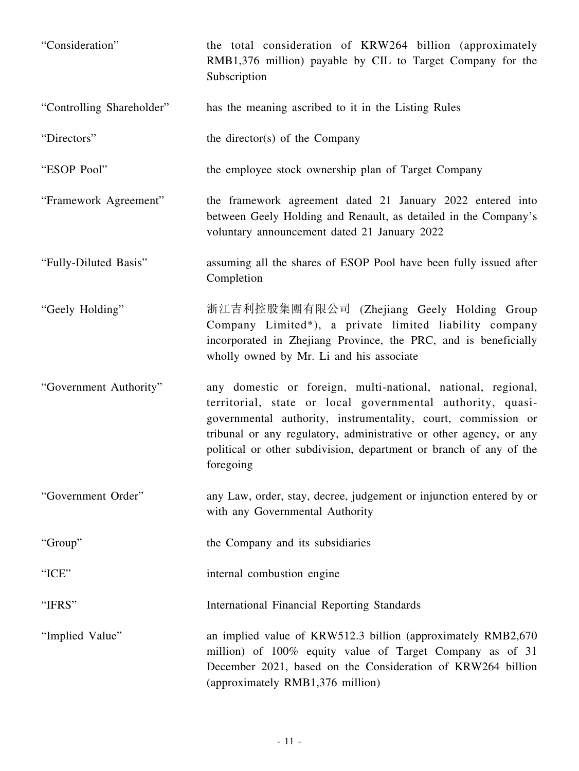| "Consideration"           | the total consideration of KRW264 billion (approximately<br>RMB1,376 million) payable by CIL to Target Company for the<br>Subscription                                                                                                                                                                                                               |
|---------------------------|------------------------------------------------------------------------------------------------------------------------------------------------------------------------------------------------------------------------------------------------------------------------------------------------------------------------------------------------------|
| "Controlling Shareholder" | has the meaning ascribed to it in the Listing Rules                                                                                                                                                                                                                                                                                                  |
| "Directors"               | the director(s) of the Company                                                                                                                                                                                                                                                                                                                       |
| "ESOP Pool"               | the employee stock ownership plan of Target Company                                                                                                                                                                                                                                                                                                  |
| "Framework Agreement"     | the framework agreement dated 21 January 2022 entered into<br>between Geely Holding and Renault, as detailed in the Company's<br>voluntary announcement dated 21 January 2022                                                                                                                                                                        |
| "Fully-Diluted Basis"     | assuming all the shares of ESOP Pool have been fully issued after<br>Completion                                                                                                                                                                                                                                                                      |
| "Geely Holding"           | 浙江吉利控股集團有限公司 (Zhejiang Geely Holding Group<br>Company Limited*), a private limited liability company<br>incorporated in Zhejiang Province, the PRC, and is beneficially<br>wholly owned by Mr. Li and his associate                                                                                                                                  |
| "Government Authority"    | any domestic or foreign, multi-national, national, regional,<br>territorial, state or local governmental authority, quasi-<br>governmental authority, instrumentality, court, commission or<br>tribunal or any regulatory, administrative or other agency, or any<br>political or other subdivision, department or branch of any of the<br>foregoing |
| "Government Order"        | any Law, order, stay, decree, judgement or injunction entered by or<br>with any Governmental Authority                                                                                                                                                                                                                                               |
| "Group"                   | the Company and its subsidiaries                                                                                                                                                                                                                                                                                                                     |
| "ICE"                     | internal combustion engine                                                                                                                                                                                                                                                                                                                           |
| "IFRS"                    | International Financial Reporting Standards                                                                                                                                                                                                                                                                                                          |
| "Implied Value"           | an implied value of KRW512.3 billion (approximately RMB2,670<br>million) of 100% equity value of Target Company as of 31<br>December 2021, based on the Consideration of KRW264 billion<br>(approximately RMB1,376 million)                                                                                                                          |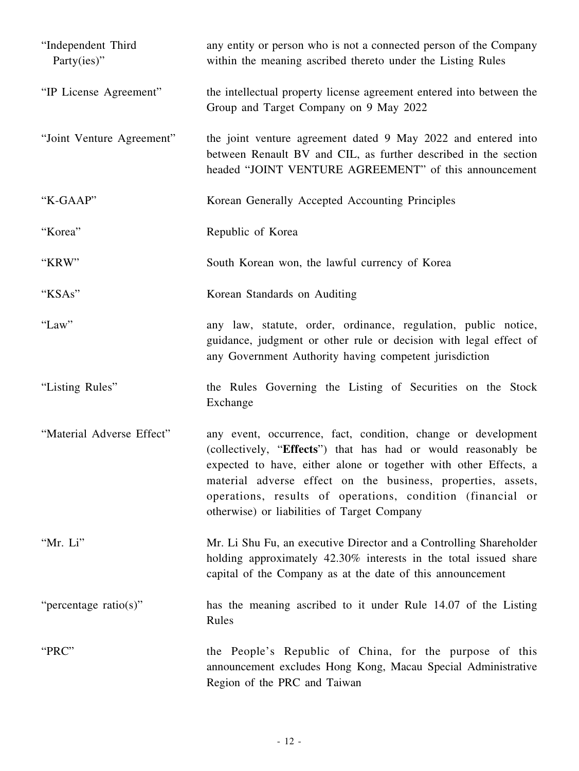| "Independent Third<br>Party(ies)" | any entity or person who is not a connected person of the Company<br>within the meaning ascribed thereto under the Listing Rules                                                                                                                                                                                                                                                |
|-----------------------------------|---------------------------------------------------------------------------------------------------------------------------------------------------------------------------------------------------------------------------------------------------------------------------------------------------------------------------------------------------------------------------------|
| "IP License Agreement"            | the intellectual property license agreement entered into between the<br>Group and Target Company on 9 May 2022                                                                                                                                                                                                                                                                  |
| "Joint Venture Agreement"         | the joint venture agreement dated 9 May 2022 and entered into<br>between Renault BV and CIL, as further described in the section<br>headed "JOINT VENTURE AGREEMENT" of this announcement                                                                                                                                                                                       |
| "K-GAAP"                          | Korean Generally Accepted Accounting Principles                                                                                                                                                                                                                                                                                                                                 |
| "Korea"                           | Republic of Korea                                                                                                                                                                                                                                                                                                                                                               |
| "KRW"                             | South Korean won, the lawful currency of Korea                                                                                                                                                                                                                                                                                                                                  |
| "KSAs"                            | Korean Standards on Auditing                                                                                                                                                                                                                                                                                                                                                    |
| "Law"                             | any law, statute, order, ordinance, regulation, public notice,<br>guidance, judgment or other rule or decision with legal effect of<br>any Government Authority having competent jurisdiction                                                                                                                                                                                   |
| "Listing Rules"                   | the Rules Governing the Listing of Securities on the Stock<br>Exchange                                                                                                                                                                                                                                                                                                          |
| "Material Adverse Effect"         | any event, occurrence, fact, condition, change or development<br>(collectively, "Effects") that has had or would reasonably be<br>expected to have, either alone or together with other Effects, a<br>material adverse effect on the business, properties, assets,<br>operations, results of operations, condition (financial or<br>otherwise) or liabilities of Target Company |
| "Mr. Li"                          | Mr. Li Shu Fu, an executive Director and a Controlling Shareholder<br>holding approximately 42.30% interests in the total issued share<br>capital of the Company as at the date of this announcement                                                                                                                                                                            |
| "percentage ratio(s)"             | has the meaning ascribed to it under Rule 14.07 of the Listing<br>Rules                                                                                                                                                                                                                                                                                                         |
| "PRC"                             | the People's Republic of China, for the purpose of this<br>announcement excludes Hong Kong, Macau Special Administrative<br>Region of the PRC and Taiwan                                                                                                                                                                                                                        |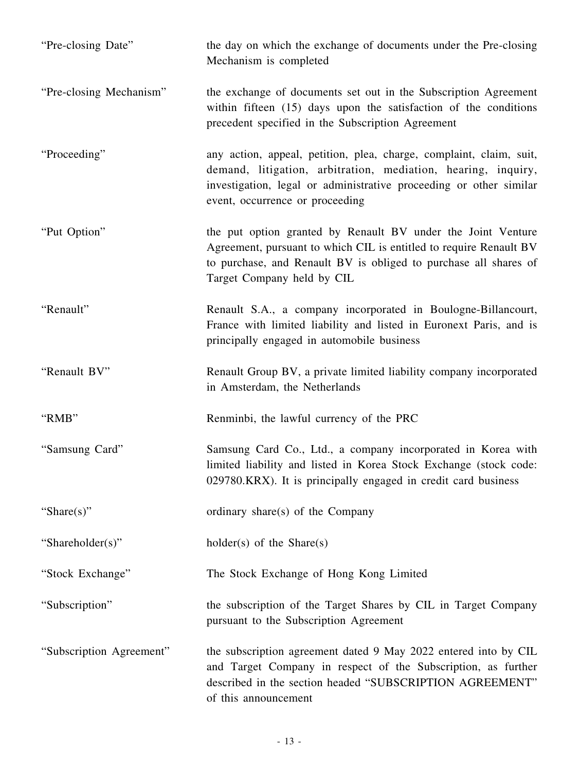| "Pre-closing Date"       | the day on which the exchange of documents under the Pre-closing<br>Mechanism is completed                                                                                                                                                    |
|--------------------------|-----------------------------------------------------------------------------------------------------------------------------------------------------------------------------------------------------------------------------------------------|
| "Pre-closing Mechanism"  | the exchange of documents set out in the Subscription Agreement<br>within fifteen $(15)$ days upon the satisfaction of the conditions<br>precedent specified in the Subscription Agreement                                                    |
| "Proceeding"             | any action, appeal, petition, plea, charge, complaint, claim, suit,<br>demand, litigation, arbitration, mediation, hearing, inquiry,<br>investigation, legal or administrative proceeding or other similar<br>event, occurrence or proceeding |
| "Put Option"             | the put option granted by Renault BV under the Joint Venture<br>Agreement, pursuant to which CIL is entitled to require Renault BV<br>to purchase, and Renault BV is obliged to purchase all shares of<br>Target Company held by CIL          |
| "Renault"                | Renault S.A., a company incorporated in Boulogne-Billancourt,<br>France with limited liability and listed in Euronext Paris, and is<br>principally engaged in automobile business                                                             |
| "Renault BV"             | Renault Group BV, a private limited liability company incorporated<br>in Amsterdam, the Netherlands                                                                                                                                           |
| "RMB"                    | Renminbi, the lawful currency of the PRC                                                                                                                                                                                                      |
| "Samsung Card"           | Samsung Card Co., Ltd., a company incorporated in Korea with<br>limited liability and listed in Korea Stock Exchange (stock code:<br>029780.KRX). It is principally engaged in credit card business                                           |
| "Share $(s)$ "           | ordinary share(s) of the Company                                                                                                                                                                                                              |
| "Shareholder(s)"         | $holder(s)$ of the Share $(s)$                                                                                                                                                                                                                |
| "Stock Exchange"         | The Stock Exchange of Hong Kong Limited                                                                                                                                                                                                       |
| "Subscription"           | the subscription of the Target Shares by CIL in Target Company<br>pursuant to the Subscription Agreement                                                                                                                                      |
| "Subscription Agreement" | the subscription agreement dated 9 May 2022 entered into by CIL<br>and Target Company in respect of the Subscription, as further<br>described in the section headed "SUBSCRIPTION AGREEMENT"<br>of this announcement                          |